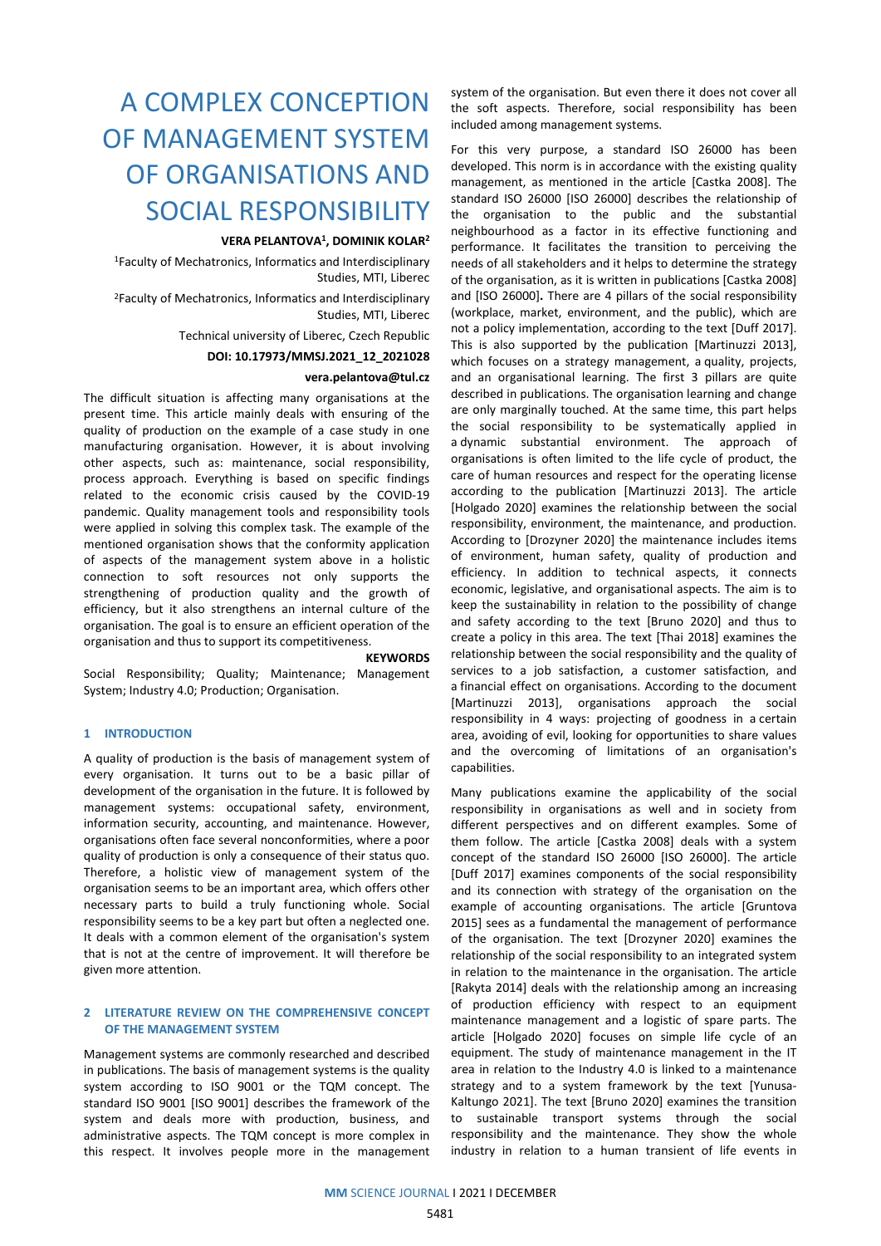# A COMPLEX CONCEPTION OF MANAGEMENT SYSTEM OF ORGANISATIONS AND SOCIAL RESPONSIBILITY

### **VERA PELANTOVA1, DOMINIK KOLAR2**

1Faculty of Mechatronics, Informatics and Interdisciplinary Studies, MTI, Liberec

2Faculty of Mechatronics, Informatics and Interdisciplinary Studies, MTI, Liberec

## Technical university of Liberec, Czech Republic

#### **DOI: 10.17973/MMSJ.2021\_12\_2021028**

#### **vera.pelantova@tul.cz**

The difficult situation is affecting many organisations at the present time. This article mainly deals with ensuring of the quality of production on the example of a case study in one manufacturing organisation. However, it is about involving other aspects, such as: maintenance, social responsibility, process approach. Everything is based on specific findings related to the economic crisis caused by the COVID-19 pandemic. Quality management tools and responsibility tools were applied in solving this complex task. The example of the mentioned organisation shows that the conformity application of aspects of the management system above in a holistic connection to soft resources not only supports the strengthening of production quality and the growth of efficiency, but it also strengthens an internal culture of the organisation. The goal is to ensure an efficient operation of the organisation and thus to support its competitiveness.

#### **KEYWORDS**

Social Responsibility; Quality; Maintenance; Management System; Industry 4.0; Production; Organisation.

#### **1 INTRODUCTION**

A quality of production is the basis of management system of every organisation. It turns out to be a basic pillar of development of the organisation in the future. It is followed by management systems: occupational safety, environment, information security, accounting, and maintenance. However, organisations often face several nonconformities, where a poor quality of production is only a consequence of their status quo. Therefore, a holistic view of management system of the organisation seems to be an important area, which offers other necessary parts to build a truly functioning whole. Social responsibility seems to be a key part but often a neglected one. It deals with a common element of the organisation's system that is not at the centre of improvement. It will therefore be given more attention.

#### **2 LITERATURE REVIEW ON THE COMPREHENSIVE CONCEPT OF THE MANAGEMENT SYSTEM**

Management systems are commonly researched and described in publications. The basis of management systems is the quality system according to ISO 9001 or the TQM concept. The standard ISO 9001 [ISO 9001] describes the framework of the system and deals more with production, business, and administrative aspects. The TQM concept is more complex in this respect. It involves people more in the management

system of the organisation. But even there it does not cover all the soft aspects. Therefore, social responsibility has been included among management systems.

For this very purpose, a standard ISO 26000 has been developed. This norm is in accordance with the existing quality management, as mentioned in the article [Castka 2008]. The standard ISO 26000 [ISO 26000] describes the relationship of the organisation to the public and the substantial neighbourhood as a factor in its effective functioning and performance. It facilitates the transition to perceiving the needs of all stakeholders and it helps to determine the strategy of the organisation, as it is written in publications [Castka 2008] and [ISO 26000]**.** There are 4 pillars of the social responsibility (workplace, market, environment, and the public), which are not a policy implementation, according to the text [Duff 2017]. This is also supported by the publication [Martinuzzi 2013], which focuses on a strategy management, a quality, projects, and an organisational learning. The first 3 pillars are quite described in publications. The organisation learning and change are only marginally touched. At the same time, this part helps the social responsibility to be systematically applied in a dynamic substantial environment. The approach of organisations is often limited to the life cycle of product, the care of human resources and respect for the operating license according to the publication [Martinuzzi 2013]. The article [Holgado 2020] examines the relationship between the social responsibility, environment, the maintenance, and production. According to [Drozyner 2020] the maintenance includes items of environment, human safety, quality of production and efficiency. In addition to technical aspects, it connects economic, legislative, and organisational aspects. The aim is to keep the sustainability in relation to the possibility of change and safety according to the text [Bruno 2020] and thus to create a policy in this area. The text [Thai 2018] examines the relationship between the social responsibility and the quality of services to a job satisfaction, a customer satisfaction, and a financial effect on organisations. According to the document [Martinuzzi 2013], organisations approach the social responsibility in 4 ways: projecting of goodness in a certain area, avoiding of evil, looking for opportunities to share values and the overcoming of limitations of an organisation's capabilities.

Many publications examine the applicability of the social responsibility in organisations as well and in society from different perspectives and on different examples. Some of them follow. The article [Castka 2008] deals with a system concept of the standard ISO 26000 [ISO 26000]. The article [Duff 2017] examines components of the social responsibility and its connection with strategy of the organisation on the example of accounting organisations. The article [Gruntova 2015] sees as a fundamental the management of performance of the organisation. The text [Drozyner 2020] examines the relationship of the social responsibility to an integrated system in relation to the maintenance in the organisation. The article [Rakyta 2014] deals with the relationship among an increasing of production efficiency with respect to an equipment maintenance management and a logistic of spare parts. The article [Holgado 2020] focuses on simple life cycle of an equipment. The study of maintenance management in the IT area in relation to the Industry 4.0 is linked to a maintenance strategy and to a system framework by the text [Yunusa-Kaltungo 2021]. The text [Bruno 2020] examines the transition to sustainable transport systems through the social responsibility and the maintenance. They show the whole industry in relation to a human transient of life events in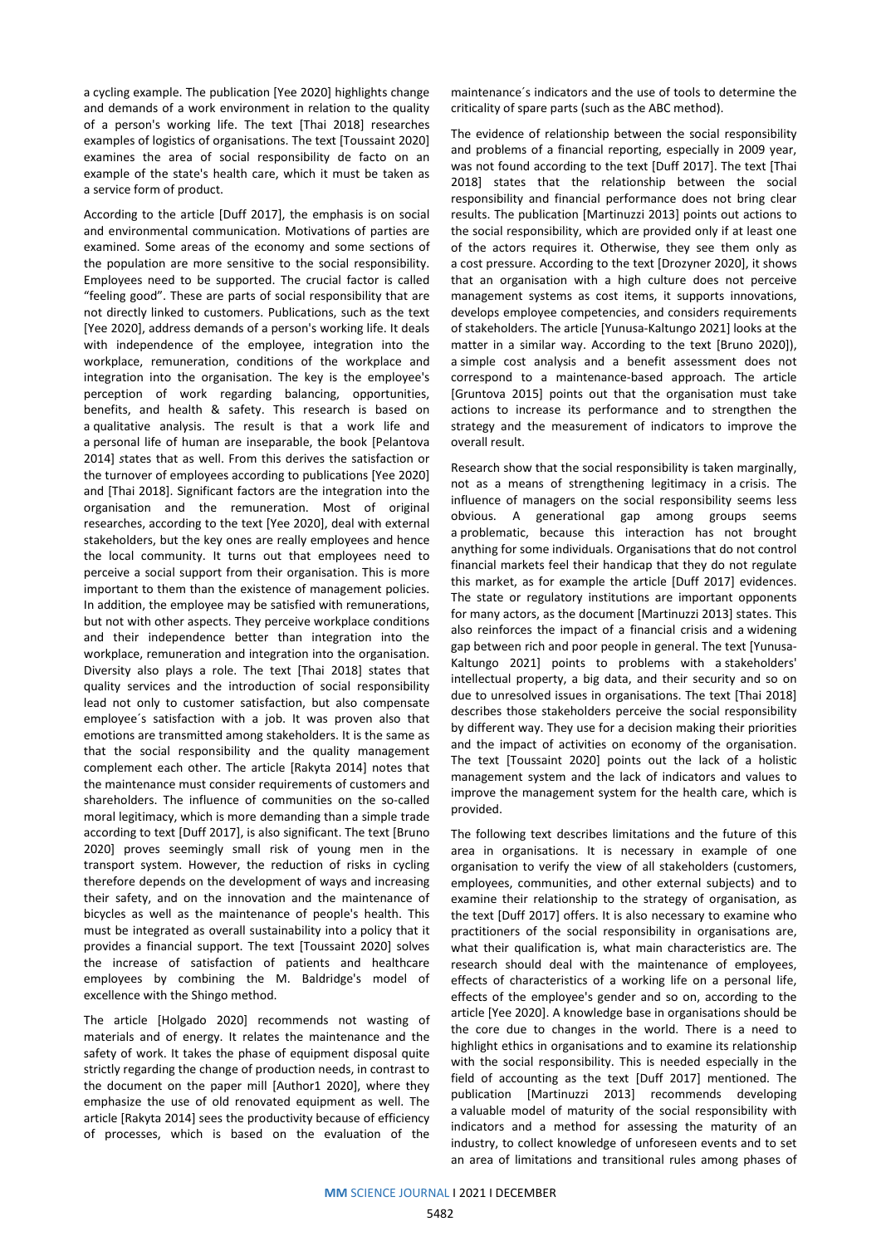a cycling example. The publication [Yee 2020] highlights change and demands of a work environment in relation to the quality of a person's working life. The text [Thai 2018] researches examples of logistics of organisations. The text [Toussaint 2020] examines the area of social responsibility de facto on an example of the state's health care, which it must be taken as a service form of product.

According to the article [Duff 2017], the emphasis is on social and environmental communication. Motivations of parties are examined. Some areas of the economy and some sections of the population are more sensitive to the social responsibility. Employees need to be supported. The crucial factor is called "feeling good". These are parts of social responsibility that are not directly linked to customers. Publications, such as the text [Yee 2020], address demands of a person's working life. It deals with independence of the employee, integration into the workplace, remuneration, conditions of the workplace and integration into the organisation. The key is the employee's perception of work regarding balancing, opportunities, benefits, and health & safety. This research is based on a qualitative analysis. The result is that a work life and a personal life of human are inseparable, the book [Pelantova 2014] *s*tates that as well. From this derives the satisfaction or the turnover of employees according to publications [Yee 2020] and [Thai 2018]. Significant factors are the integration into the organisation and the remuneration. Most of original researches, according to the text [Yee 2020], deal with external stakeholders, but the key ones are really employees and hence the local community. It turns out that employees need to perceive a social support from their organisation. This is more important to them than the existence of management policies. In addition, the employee may be satisfied with remunerations, but not with other aspects. They perceive workplace conditions and their independence better than integration into the workplace, remuneration and integration into the organisation. Diversity also plays a role. The text [Thai 2018] states that quality services and the introduction of social responsibility lead not only to customer satisfaction, but also compensate employee´s satisfaction with a job. It was proven also that emotions are transmitted among stakeholders. It is the same as that the social responsibility and the quality management complement each other. The article [Rakyta 2014] notes that the maintenance must consider requirements of customers and shareholders. The influence of communities on the so-called moral legitimacy, which is more demanding than a simple trade according to text [Duff 2017], is also significant. The text [Bruno 2020] proves seemingly small risk of young men in the transport system. However, the reduction of risks in cycling therefore depends on the development of ways and increasing their safety, and on the innovation and the maintenance of bicycles as well as the maintenance of people's health. This must be integrated as overall sustainability into a policy that it provides a financial support. The text [Toussaint 2020] solves the increase of satisfaction of patients and healthcare employees by combining the M. Baldridge's model of excellence with the Shingo method.

The article [Holgado 2020] recommends not wasting of materials and of energy. It relates the maintenance and the safety of work. It takes the phase of equipment disposal quite strictly regarding the change of production needs, in contrast to the document on the paper mill [Author1 2020], where they emphasize the use of old renovated equipment as well. The article [Rakyta 2014] sees the productivity because of efficiency of processes, which is based on the evaluation of the

maintenance´s indicators and the use of tools to determine the criticality of spare parts (such as the ABC method).

The evidence of relationship between the social responsibility and problems of a financial reporting, especially in 2009 year, was not found according to the text [Duff 2017]. The text [Thai 2018] states that the relationship between the social responsibility and financial performance does not bring clear results. The publication [Martinuzzi 2013] points out actions to the social responsibility, which are provided only if at least one of the actors requires it. Otherwise, they see them only as a cost pressure. According to the text [Drozyner 2020], it shows that an organisation with a high culture does not perceive management systems as cost items, it supports innovations, develops employee competencies, and considers requirements of stakeholders. The article [Yunusa-Kaltungo 2021] looks at the matter in a similar way. According to the text [Bruno 2020]), a simple cost analysis and a benefit assessment does not correspond to a maintenance-based approach. The article [Gruntova 2015] points out that the organisation must take actions to increase its performance and to strengthen the strategy and the measurement of indicators to improve the overall result.

Research show that the social responsibility is taken marginally, not as a means of strengthening legitimacy in a crisis. The influence of managers on the social responsibility seems less obvious. A generational gap among groups seems a problematic, because this interaction has not brought anything for some individuals. Organisations that do not control financial markets feel their handicap that they do not regulate this market, as for example the article [Duff 2017] evidences. The state or regulatory institutions are important opponents for many actors, as the document [Martinuzzi 2013] states. This also reinforces the impact of a financial crisis and a widening gap between rich and poor people in general. The text [Yunusa-Kaltungo 2021] points to problems with a stakeholders' intellectual property, a big data, and their security and so on due to unresolved issues in organisations. The text [Thai 2018] describes those stakeholders perceive the social responsibility by different way. They use for a decision making their priorities and the impact of activities on economy of the organisation. The text [Toussaint 2020] points out the lack of a holistic management system and the lack of indicators and values to improve the management system for the health care, which is provided.

The following text describes limitations and the future of this area in organisations. It is necessary in example of one organisation to verify the view of all stakeholders (customers, employees, communities, and other external subjects) and to examine their relationship to the strategy of organisation, as the text [Duff 2017] offers. It is also necessary to examine who practitioners of the social responsibility in organisations are, what their qualification is, what main characteristics are. The research should deal with the maintenance of employees, effects of characteristics of a working life on a personal life, effects of the employee's gender and so on, according to the article [Yee 2020]. A knowledge base in organisations should be the core due to changes in the world. There is a need to highlight ethics in organisations and to examine its relationship with the social responsibility. This is needed especially in the field of accounting as the text [Duff 2017] mentioned. The publication [Martinuzzi 2013] recommends developing a valuable model of maturity of the social responsibility with indicators and a method for assessing the maturity of an industry, to collect knowledge of unforeseen events and to set an area of limitations and transitional rules among phases of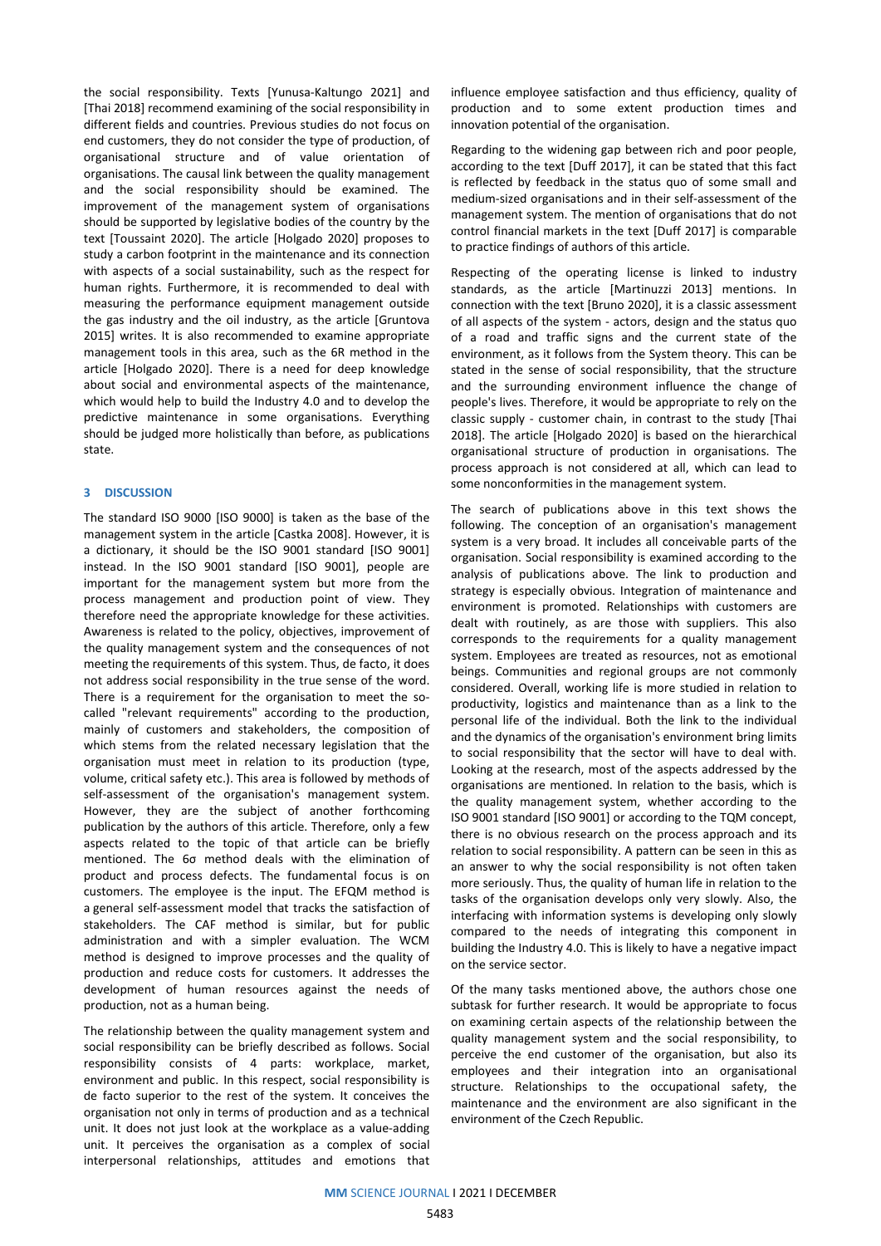the social responsibility. Texts [Yunusa-Kaltungo 2021] and [Thai 2018] recommend examining of the social responsibility in different fields and countries. Previous studies do not focus on end customers, they do not consider the type of production, of organisational structure and of value orientation of organisations. The causal link between the quality management and the social responsibility should be examined. The improvement of the management system of organisations should be supported by legislative bodies of the country by the text [Toussaint 2020]. The article [Holgado 2020] proposes to study a carbon footprint in the maintenance and its connection with aspects of a social sustainability, such as the respect for human rights. Furthermore, it is recommended to deal with measuring the performance equipment management outside the gas industry and the oil industry, as the article [Gruntova 2015] writes. It is also recommended to examine appropriate management tools in this area, such as the 6R method in the article [Holgado 2020]. There is a need for deep knowledge about social and environmental aspects of the maintenance, which would help to build the Industry 4.0 and to develop the predictive maintenance in some organisations. Everything should be judged more holistically than before, as publications state.

#### **3 DISCUSSION**

The standard ISO 9000 [ISO 9000] is taken as the base of the management system in the article [Castka 2008]. However, it is a dictionary, it should be the ISO 9001 standard [ISO 9001] instead. In the ISO 9001 standard [ISO 9001], people are important for the management system but more from the process management and production point of view. They therefore need the appropriate knowledge for these activities. Awareness is related to the policy, objectives, improvement of the quality management system and the consequences of not meeting the requirements of this system. Thus, de facto, it does not address social responsibility in the true sense of the word. There is a requirement for the organisation to meet the socalled "relevant requirements" according to the production, mainly of customers and stakeholders, the composition of which stems from the related necessary legislation that the organisation must meet in relation to its production (type, volume, critical safety etc.). This area is followed by methods of self-assessment of the organisation's management system. However, they are the subject of another forthcoming publication by the authors of this article. Therefore, only a few aspects related to the topic of that article can be briefly mentioned. The 6σ method deals with the elimination of product and process defects. The fundamental focus is on customers. The employee is the input. The EFQM method is a general self-assessment model that tracks the satisfaction of stakeholders. The CAF method is similar, but for public administration and with a simpler evaluation. The WCM method is designed to improve processes and the quality of production and reduce costs for customers. It addresses the development of human resources against the needs of production, not as a human being.

The relationship between the quality management system and social responsibility can be briefly described as follows. Social responsibility consists of 4 parts: workplace, market, environment and public. In this respect, social responsibility is de facto superior to the rest of the system. It conceives the organisation not only in terms of production and as a technical unit. It does not just look at the workplace as a value-adding unit. It perceives the organisation as a complex of social interpersonal relationships, attitudes and emotions that

influence employee satisfaction and thus efficiency, quality of production and to some extent production times and innovation potential of the organisation.

Regarding to the widening gap between rich and poor people, according to the text [Duff 2017], it can be stated that this fact is reflected by feedback in the status quo of some small and medium-sized organisations and in their self-assessment of the management system. The mention of organisations that do not control financial markets in the text [Duff 2017] is comparable to practice findings of authors of this article.

Respecting of the operating license is linked to industry standards, as the article [Martinuzzi 2013] mentions. In connection with the text [Bruno 2020], it is a classic assessment of all aspects of the system - actors, design and the status quo of a road and traffic signs and the current state of the environment, as it follows from the System theory. This can be stated in the sense of social responsibility, that the structure and the surrounding environment influence the change of people's lives. Therefore, it would be appropriate to rely on the classic supply - customer chain, in contrast to the study [Thai 2018]. The article [Holgado 2020] is based on the hierarchical organisational structure of production in organisations. The process approach is not considered at all, which can lead to some nonconformities in the management system.

The search of publications above in this text shows the following. The conception of an organisation's management system is a very broad. It includes all conceivable parts of the organisation. Social responsibility is examined according to the analysis of publications above. The link to production and strategy is especially obvious. Integration of maintenance and environment is promoted. Relationships with customers are dealt with routinely, as are those with suppliers. This also corresponds to the requirements for a quality management system. Employees are treated as resources, not as emotional beings. Communities and regional groups are not commonly considered. Overall, working life is more studied in relation to productivity, logistics and maintenance than as a link to the personal life of the individual. Both the link to the individual and the dynamics of the organisation's environment bring limits to social responsibility that the sector will have to deal with. Looking at the research, most of the aspects addressed by the organisations are mentioned. In relation to the basis, which is the quality management system, whether according to the ISO 9001 standard [ISO 9001] or according to the TQM concept, there is no obvious research on the process approach and its relation to social responsibility. A pattern can be seen in this as an answer to why the social responsibility is not often taken more seriously. Thus, the quality of human life in relation to the tasks of the organisation develops only very slowly. Also, the interfacing with information systems is developing only slowly compared to the needs of integrating this component in building the Industry 4.0. This is likely to have a negative impact on the service sector.

Of the many tasks mentioned above, the authors chose one subtask for further research. It would be appropriate to focus on examining certain aspects of the relationship between the quality management system and the social responsibility, to perceive the end customer of the organisation, but also its employees and their integration into an organisational structure. Relationships to the occupational safety, the maintenance and the environment are also significant in the environment of the Czech Republic.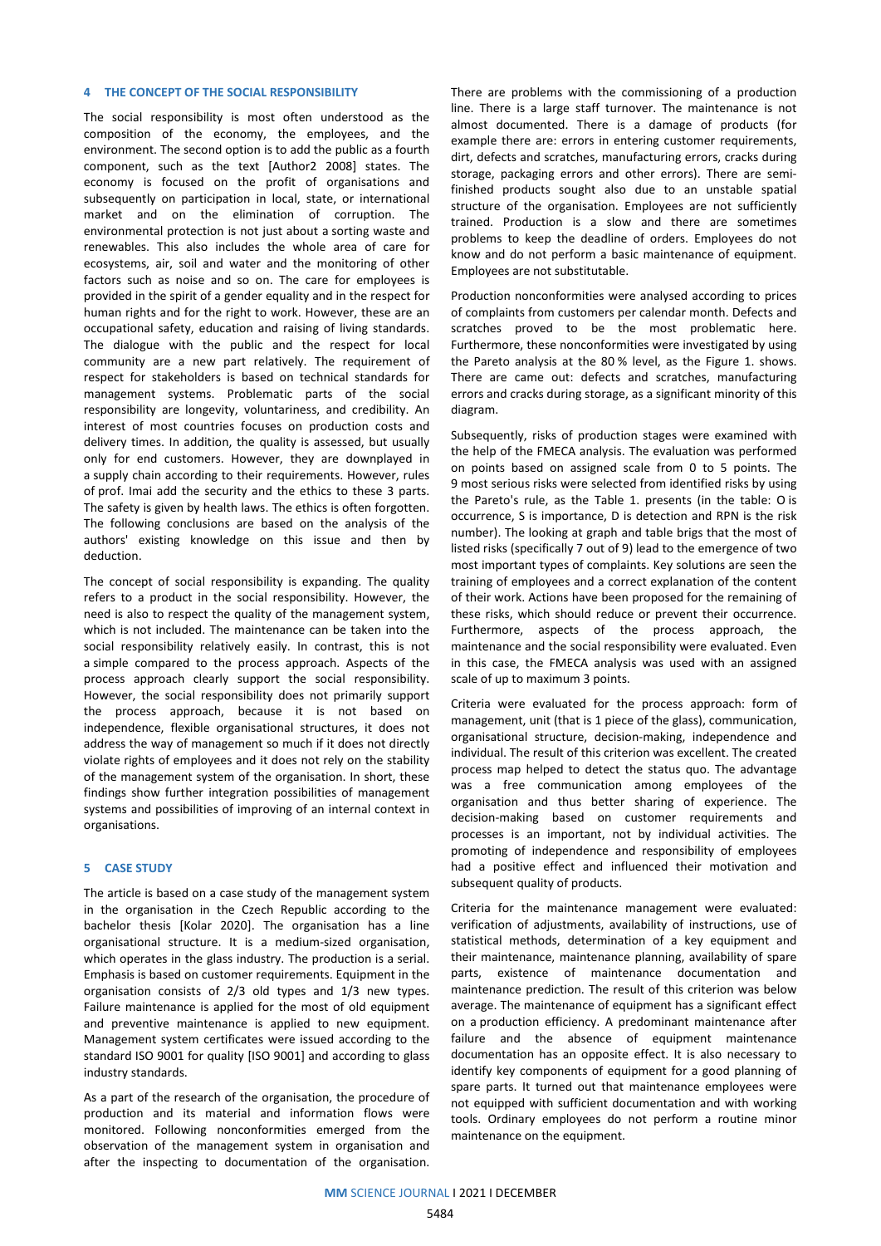#### **4 THE CONCEPT OF THE SOCIAL RESPONSIBILITY**

The social responsibility is most often understood as the composition of the economy, the employees, and the environment. The second option is to add the public as a fourth component, such as the text [Author2 2008] states. The economy is focused on the profit of organisations and subsequently on participation in local, state, or international market and on the elimination of corruption. The environmental protection is not just about a sorting waste and renewables. This also includes the whole area of care for ecosystems, air, soil and water and the monitoring of other factors such as noise and so on. The care for employees is provided in the spirit of a gender equality and in the respect for human rights and for the right to work. However, these are an occupational safety, education and raising of living standards. The dialogue with the public and the respect for local community are a new part relatively. The requirement of respect for stakeholders is based on technical standards for management systems. Problematic parts of the social responsibility are longevity, voluntariness, and credibility. An interest of most countries focuses on production costs and delivery times. In addition, the quality is assessed, but usually only for end customers. However, they are downplayed in a supply chain according to their requirements. However, rules of prof. Imai add the security and the ethics to these 3 parts. The safety is given by health laws. The ethics is often forgotten. The following conclusions are based on the analysis of the authors' existing knowledge on this issue and then by deduction.

The concept of social responsibility is expanding. The quality refers to a product in the social responsibility. However, the need is also to respect the quality of the management system, which is not included. The maintenance can be taken into the social responsibility relatively easily. In contrast, this is not a simple compared to the process approach. Aspects of the process approach clearly support the social responsibility. However, the social responsibility does not primarily support the process approach, because it is not based on independence, flexible organisational structures, it does not address the way of management so much if it does not directly violate rights of employees and it does not rely on the stability of the management system of the organisation. In short, these findings show further integration possibilities of management systems and possibilities of improving of an internal context in organisations.

#### **5 CASE STUDY**

The article is based on a case study of the management system in the organisation in the Czech Republic according to the bachelor thesis [Kolar 2020]. The organisation has a line organisational structure. It is a medium-sized organisation, which operates in the glass industry. The production is a serial. Emphasis is based on customer requirements. Equipment in the organisation consists of 2/3 old types and 1/3 new types. Failure maintenance is applied for the most of old equipment and preventive maintenance is applied to new equipment. Management system certificates were issued according to the standard ISO 9001 for quality [ISO 9001] and according to glass industry standards.

As a part of the research of the organisation, the procedure of production and its material and information flows were monitored. Following nonconformities emerged from the observation of the management system in organisation and after the inspecting to documentation of the organisation.

There are problems with the commissioning of a production line. There is a large staff turnover. The maintenance is not almost documented. There is a damage of products (for example there are: errors in entering customer requirements, dirt, defects and scratches, manufacturing errors, cracks during storage, packaging errors and other errors). There are semifinished products sought also due to an unstable spatial structure of the organisation. Employees are not sufficiently trained. Production is a slow and there are sometimes problems to keep the deadline of orders. Employees do not know and do not perform a basic maintenance of equipment. Employees are not substitutable.

Production nonconformities were analysed according to prices of complaints from customers per calendar month. Defects and scratches proved to be the most problematic here. Furthermore, these nonconformities were investigated by using the Pareto analysis at the 80 % level, as the Figure 1. shows. There are came out: defects and scratches, manufacturing errors and cracks during storage, as a significant minority of this diagram.

Subsequently, risks of production stages were examined with the help of the FMECA analysis. The evaluation was performed on points based on assigned scale from 0 to 5 points. The 9 most serious risks were selected from identified risks by using the Pareto's rule, as the Table 1. presents (in the table: O is occurrence, S is importance, D is detection and RPN is the risk number). The looking at graph and table brigs that the most of listed risks (specifically 7 out of 9) lead to the emergence of two most important types of complaints. Key solutions are seen the training of employees and a correct explanation of the content of their work. Actions have been proposed for the remaining of these risks, which should reduce or prevent their occurrence. Furthermore, aspects of the process approach, the maintenance and the social responsibility were evaluated. Even in this case, the FMECA analysis was used with an assigned scale of up to maximum 3 points.

Criteria were evaluated for the process approach: form of management, unit (that is 1 piece of the glass), communication, organisational structure, decision-making, independence and individual. The result of this criterion was excellent. The created process map helped to detect the status quo. The advantage was a free communication among employees of the organisation and thus better sharing of experience. The decision-making based on customer requirements and processes is an important, not by individual activities. The promoting of independence and responsibility of employees had a positive effect and influenced their motivation and subsequent quality of products.

Criteria for the maintenance management were evaluated: verification of adjustments, availability of instructions, use of statistical methods, determination of a key equipment and their maintenance, maintenance planning, availability of spare parts, existence of maintenance documentation and maintenance prediction. The result of this criterion was below average. The maintenance of equipment has a significant effect on a production efficiency. A predominant maintenance after failure and the absence of equipment maintenance documentation has an opposite effect. It is also necessary to identify key components of equipment for a good planning of spare parts. It turned out that maintenance employees were not equipped with sufficient documentation and with working tools. Ordinary employees do not perform a routine minor maintenance on the equipment.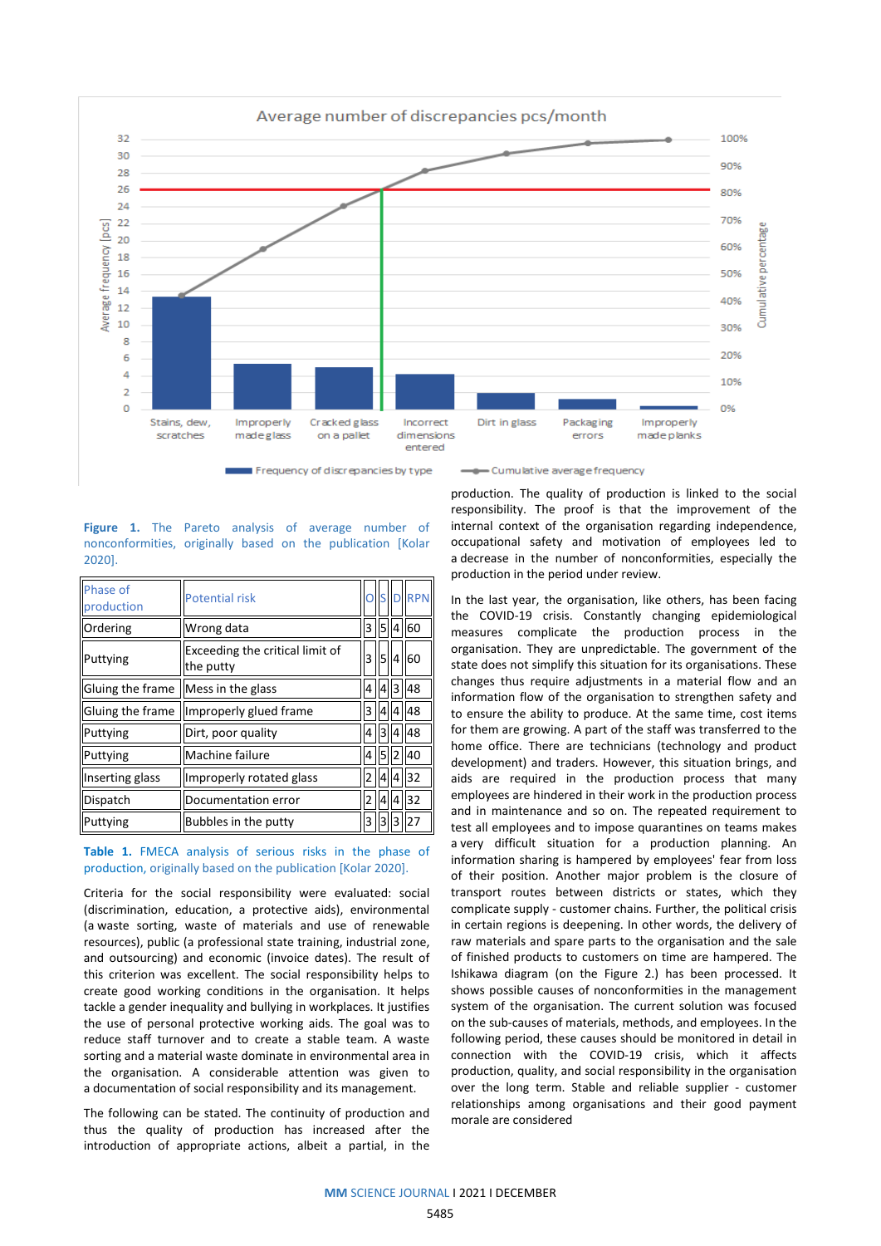

Frequency of discrepancies by type

- Cumulative average frequency

**Figure 1.** The Pareto analysis of average number of nonconformities, originally based on the publication [Kolar 2020].

| Phase of<br>production | <b>Potential risk</b>                        |   | n s |   | <b>RPN</b> |
|------------------------|----------------------------------------------|---|-----|---|------------|
| Ordering               | Wrong data                                   | 3 | 5   | 4 | 60         |
| Puttying               | Exceeding the critical limit of<br>the putty | 3 | 5   | 4 | 60         |
| Gluing the frame       | Mess in the glass                            | 4 | 4   | 3 | 48         |
| Gluing the frame       | Improperly glued frame                       | 3 | 4   | 4 | 48         |
| Puttying               | Dirt, poor quality                           | 4 | 3   |   | 48         |
| Puttying               | Machine failure                              | 4 |     |   | 40         |
| Inserting glass        | Improperly rotated glass                     | 2 |     |   | 32         |
| Dispatch               | Documentation error                          | 2 | 4   |   | 32         |
| Puttying               | Bubbles in the putty                         | 3 | з   | 3 | 27         |

## **Table 1.** FMECA analysis of serious risks in the phase of production, originally based on the publication [Kolar 2020].

Criteria for the social responsibility were evaluated: social (discrimination, education, a protective aids), environmental (a waste sorting, waste of materials and use of renewable resources), public (a professional state training, industrial zone, and outsourcing) and economic (invoice dates). The result of this criterion was excellent. The social responsibility helps to create good working conditions in the organisation. It helps tackle a gender inequality and bullying in workplaces. It justifies the use of personal protective working aids. The goal was to reduce staff turnover and to create a stable team. A waste sorting and a material waste dominate in environmental area in the organisation. A considerable attention was given to a documentation of social responsibility and its management.

The following can be stated. The continuity of production and thus the quality of production has increased after the introduction of appropriate actions, albeit a partial, in the

production. The quality of production is linked to the social responsibility. The proof is that the improvement of the internal context of the organisation regarding independence, occupational safety and motivation of employees led to a decrease in the number of nonconformities, especially the production in the period under review.

In the last year, the organisation, like others, has been facing the COVID-19 crisis. Constantly changing epidemiological measures complicate the production process in the organisation. They are unpredictable. The government of the state does not simplify this situation for its organisations. These changes thus require adjustments in a material flow and an information flow of the organisation to strengthen safety and to ensure the ability to produce. At the same time, cost items for them are growing. A part of the staff was transferred to the home office. There are technicians (technology and product development) and traders. However, this situation brings, and aids are required in the production process that many employees are hindered in their work in the production process and in maintenance and so on. The repeated requirement to test all employees and to impose quarantines on teams makes a very difficult situation for a production planning. An information sharing is hampered by employees' fear from loss of their position. Another major problem is the closure of transport routes between districts or states, which they complicate supply - customer chains. Further, the political crisis in certain regions is deepening. In other words, the delivery of raw materials and spare parts to the organisation and the sale of finished products to customers on time are hampered. The Ishikawa diagram (on the Figure 2.) has been processed. It shows possible causes of nonconformities in the management system of the organisation. The current solution was focused on the sub-causes of materials, methods, and employees. In the following period, these causes should be monitored in detail in connection with the COVID-19 crisis, which it affects production, quality, and social responsibility in the organisation over the long term. Stable and reliable supplier - customer relationships among organisations and their good payment morale are considered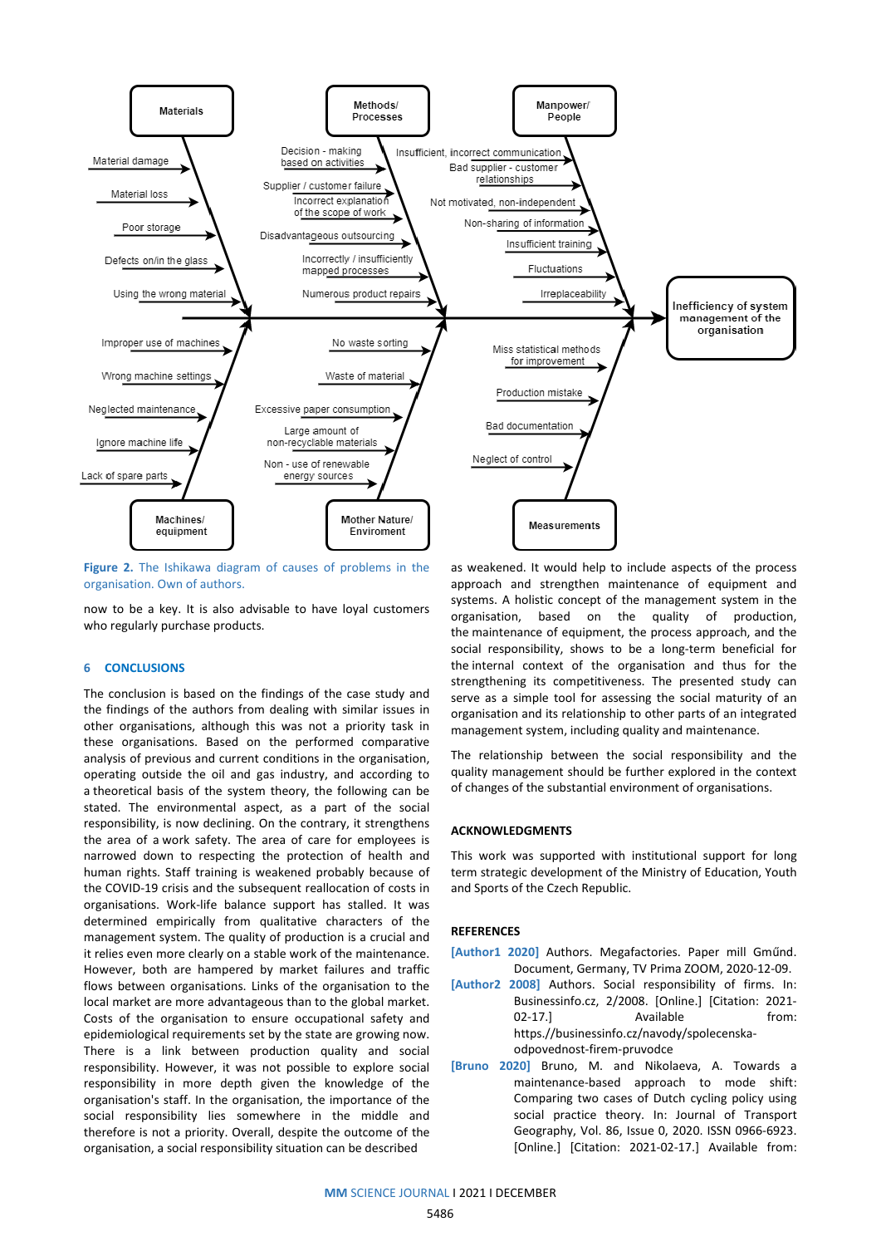

**Figure 2.** The Ishikawa diagram of causes of problems in the organisation. Own of authors.

now to be a key. It is also advisable to have loyal customers who regularly purchase products.

#### **6 CONCLUSIONS**

The conclusion is based on the findings of the case study and the findings of the authors from dealing with similar issues in other organisations, although this was not a priority task in these organisations. Based on the performed comparative analysis of previous and current conditions in the organisation, operating outside the oil and gas industry, and according to a theoretical basis of the system theory, the following can be stated. The environmental aspect, as a part of the social responsibility, is now declining. On the contrary, it strengthens the area of a work safety. The area of care for employees is narrowed down to respecting the protection of health and human rights. Staff training is weakened probably because of the COVID-19 crisis and the subsequent reallocation of costs in organisations. Work-life balance support has stalled. It was determined empirically from qualitative characters of the management system. The quality of production is a crucial and it relies even more clearly on a stable work of the maintenance. However, both are hampered by market failures and traffic flows between organisations. Links of the organisation to the local market are more advantageous than to the global market. Costs of the organisation to ensure occupational safety and epidemiological requirements set by the state are growing now. There is a link between production quality and social responsibility. However, it was not possible to explore social responsibility in more depth given the knowledge of the organisation's staff. In the organisation, the importance of the social responsibility lies somewhere in the middle and therefore is not a priority. Overall, despite the outcome of the organisation, a social responsibility situation can be described

as weakened. It would help to include aspects of the process approach and strengthen maintenance of equipment and systems. A holistic concept of the management system in the organisation, based on the quality of production, the maintenance of equipment, the process approach, and the social responsibility, shows to be a long-term beneficial for the internal context of the organisation and thus for the strengthening its competitiveness. The presented study can serve as a simple tool for assessing the social maturity of an organisation and its relationship to other parts of an integrated management system, including quality and maintenance.

The relationship between the social responsibility and the quality management should be further explored in the context of changes of the substantial environment of organisations.

#### **ACKNOWLEDGMENTS**

This work was supported with institutional support for long term strategic development of the Ministry of Education, Youth and Sports of the Czech Republic.

### **REFERENCES**

- **[Author1 2020]** Authors. Megafactories. Paper mill Gműnd. Document, Germany, TV Prima ZOOM, 2020-12-09.
- **[Author2 2008]** Authors. Social responsibility of firms. In: Businessinfo.cz, 2/2008. [Online.] [Citation: 2021- 02-17.] Available **compared from:** https.//businessinfo.cz/navody/spolecenskaodpovednost-firem-pruvodce
- **[Bruno 2020]** Bruno, M. and Nikolaeva, A. Towards a maintenance-based approach to mode shift: Comparing two cases of Dutch cycling policy using social practice theory. In: Journal of Transport Geography, Vol. 86, Issue 0, 2020. ISSN 0966-6923. [Online.] [Citation: 2021-02-17.] Available from: